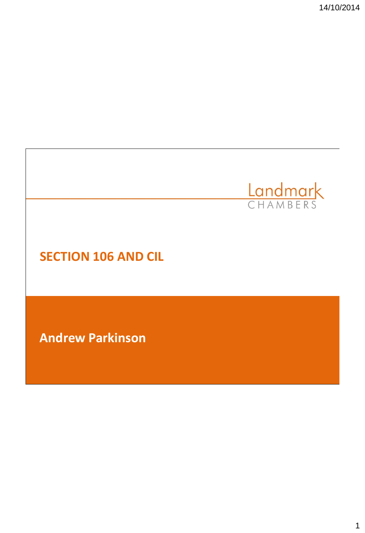14/10/2014

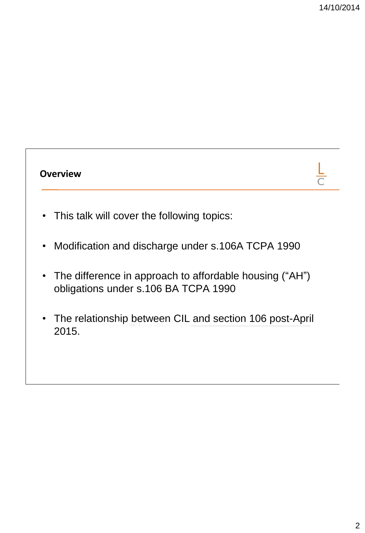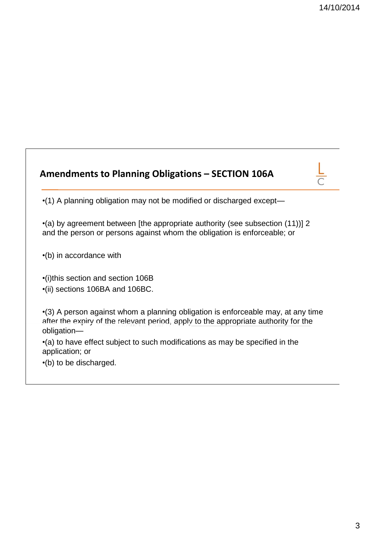## **Amendments to Planning Obligations – SECTION 106A** •(1) A planning obligation may not be modified or discharged except— •(a) by agreement between [the appropriate authority (see subsection (11))] 2 and the person or persons against whom the obligation is enforceable; or •(b) in accordance with •(i)this section and section 106B •(ii) sections 106BA and 106BC. •(3) A person against whom a planning obligation is enforceable may, at any time after the expiry of the relevant period, apply to the appropriate authority for the obligation— •(a) to have effect subject to such modifications as may be specified in the application; or •(b) to be discharged.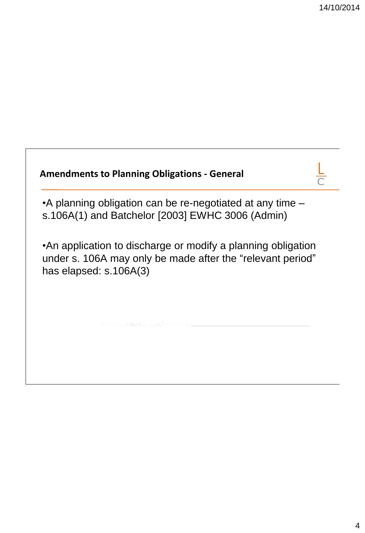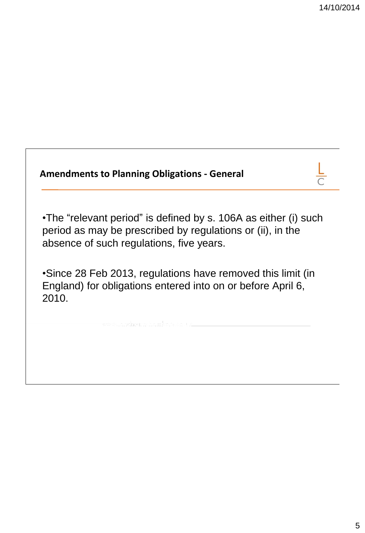| <b>Amendments to Planning Obligations - General</b>                                                                                                                       |  |
|---------------------------------------------------------------------------------------------------------------------------------------------------------------------------|--|
| •The "relevant period" is defined by s. 106A as either (i) such<br>period as may be prescribed by regulations or (ii), in the<br>absence of such regulations, five years. |  |
| •Since 28 Feb 2013, regulations have removed this limit (in<br>England) for obligations entered into on or before April 6,<br>2010.                                       |  |
|                                                                                                                                                                           |  |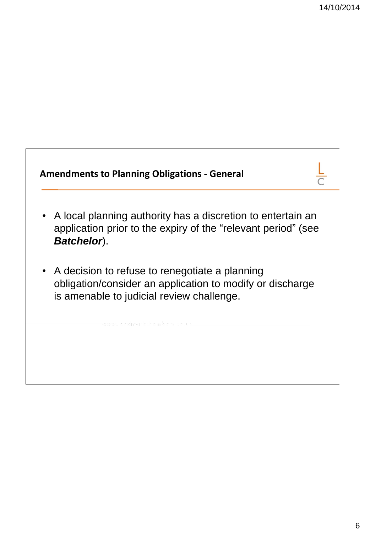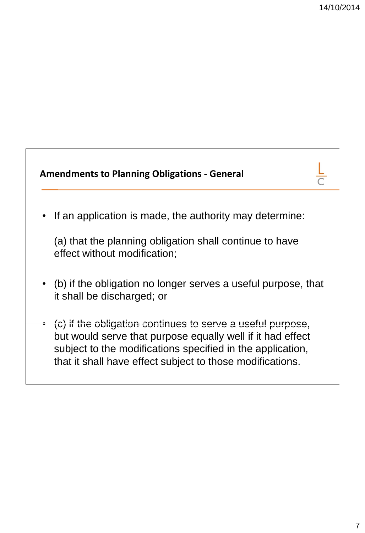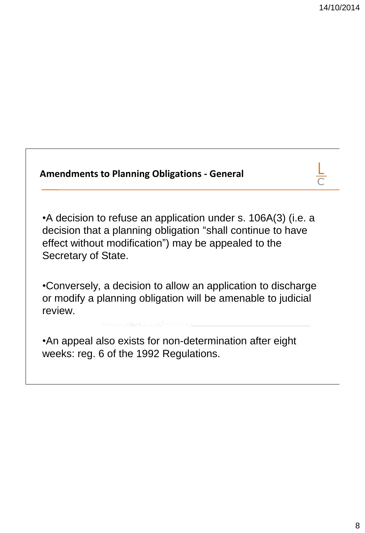| <b>Amendments to Planning Obligations - General</b>                                                                                                                                                         |  |
|-------------------------------------------------------------------------------------------------------------------------------------------------------------------------------------------------------------|--|
| •A decision to refuse an application under s. 106A(3) (i.e. a<br>decision that a planning obligation "shall continue to have<br>effect without modification") may be appealed to the<br>Secretary of State. |  |
| •Conversely, a decision to allow an application to discharge<br>or modify a planning obligation will be amenable to judicial<br>review.                                                                     |  |
| • An appeal also exists for non-determination after eight<br>weeks: reg. 6 of the 1992 Regulations.                                                                                                         |  |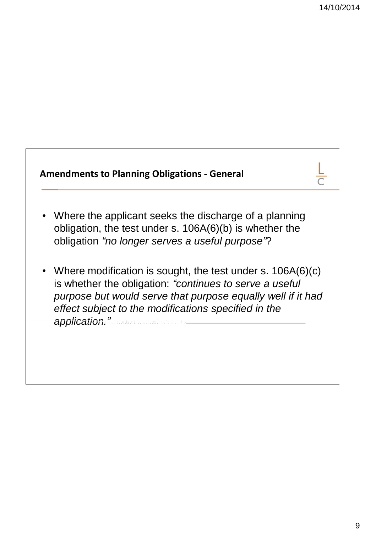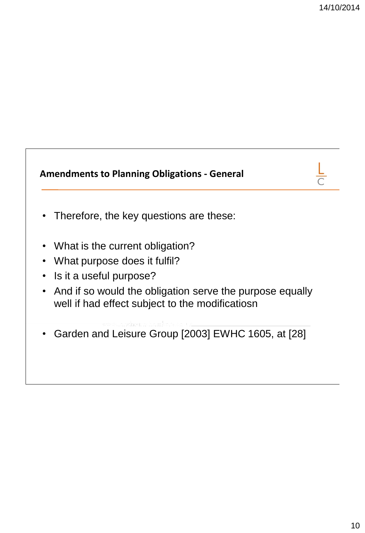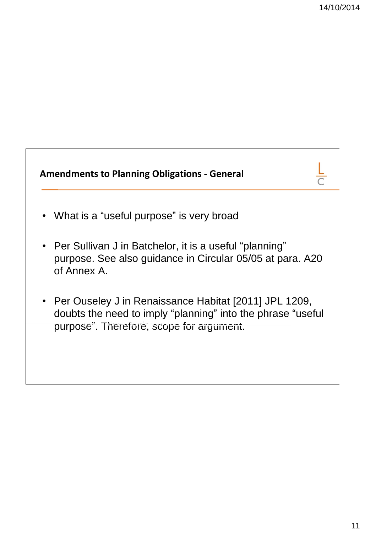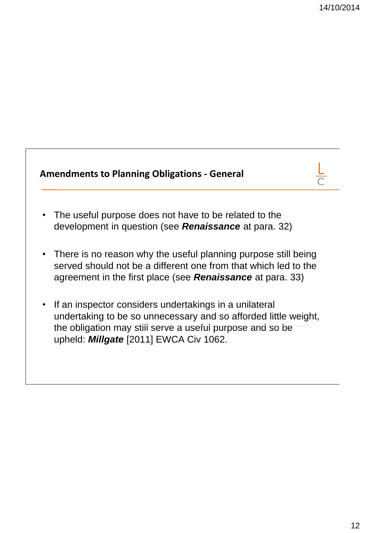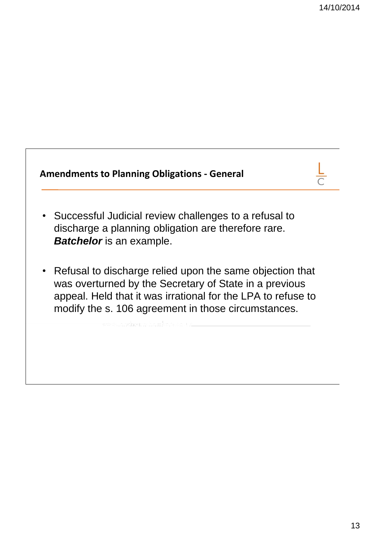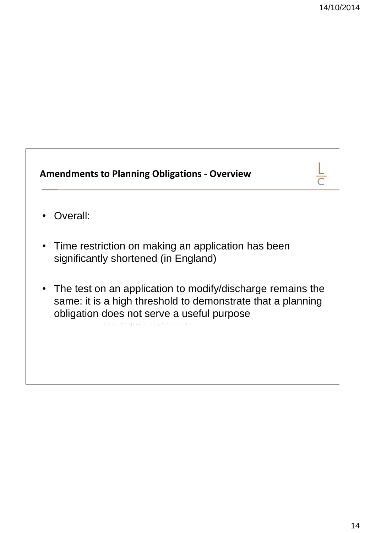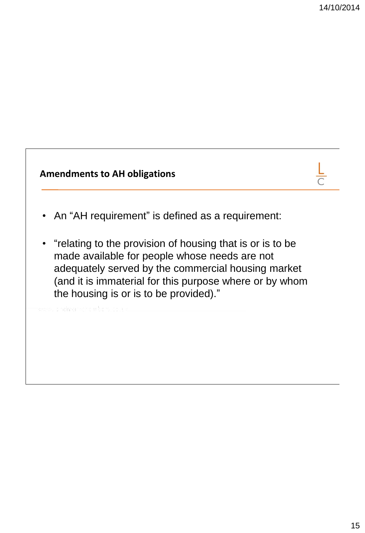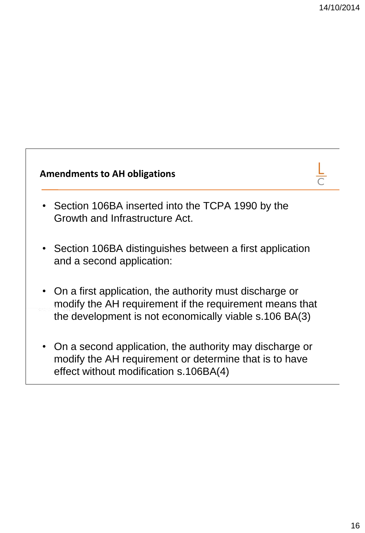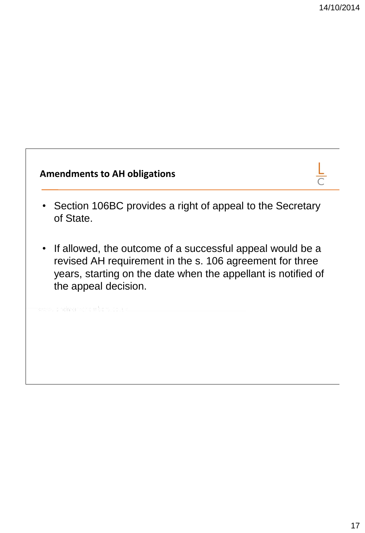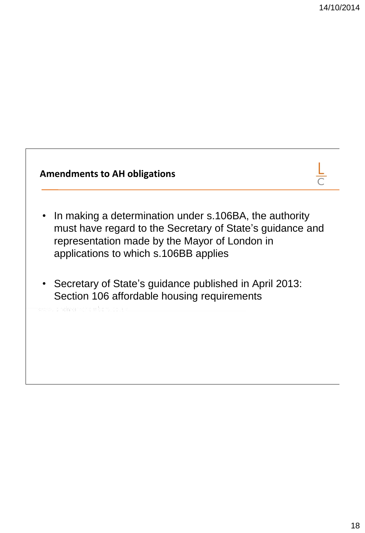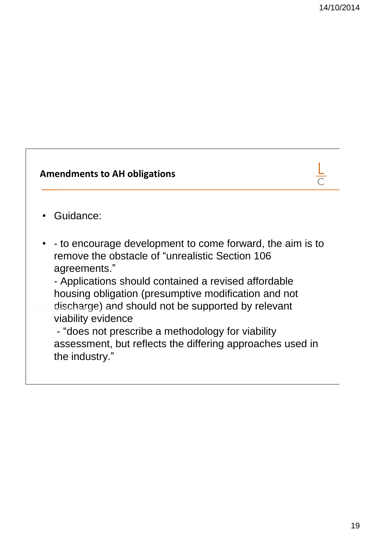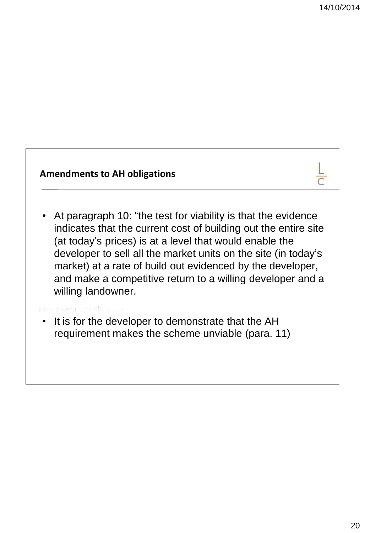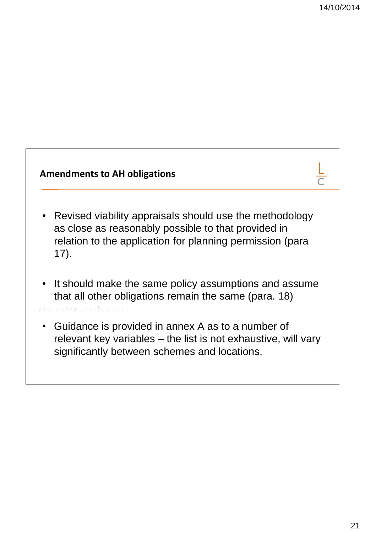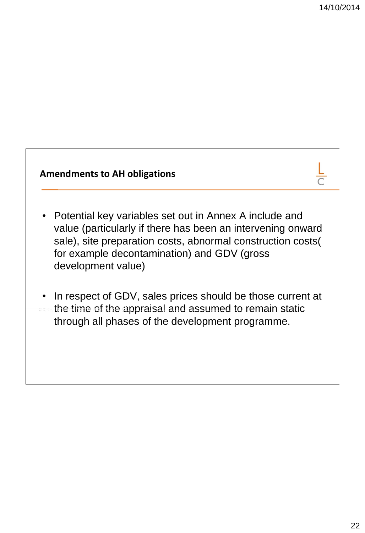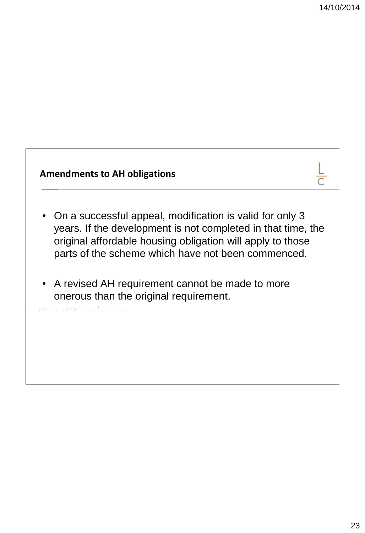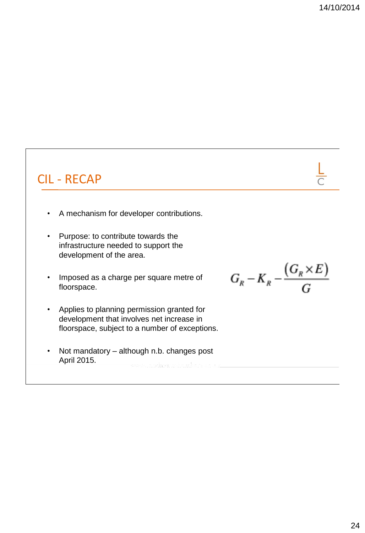## CIL - RECAP

- A mechanism for developer contributions.
- Purpose: to contribute towards the infrastructure needed to support the development of the area.
- Imposed as a charge per square metre of floorspace.
- Applies to planning permission granted for development that involves net increase in floorspace, subject to a number of exceptions.
- Not mandatory although n.b. changes post April 2015.

 $G_{R}-K_{R}-\frac{\left(G_{R}\times E\right)}{G}$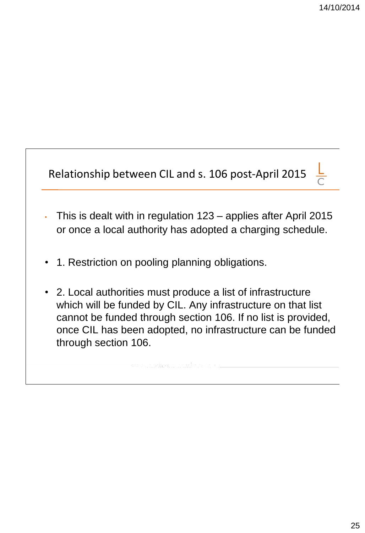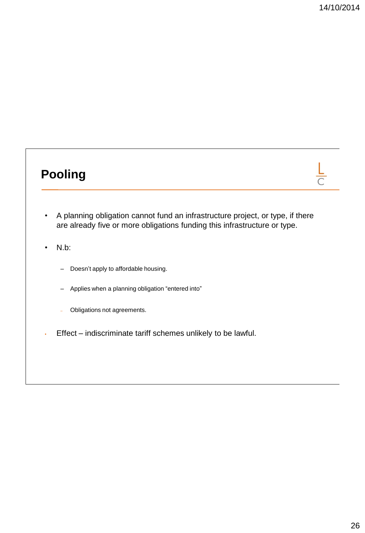$rac{\mathsf{L}}{\mathsf{C}}$ 

## **Pooling**

- A planning obligation cannot fund an infrastructure project, or type, if there are already five or more obligations funding this infrastructure or type.
- N.b:
	- Doesn't apply to affordable housing.
	- Applies when a planning obligation "entered into"
	- Obligations not agreements.
- Effect indiscriminate tariff schemes unlikely to be lawful.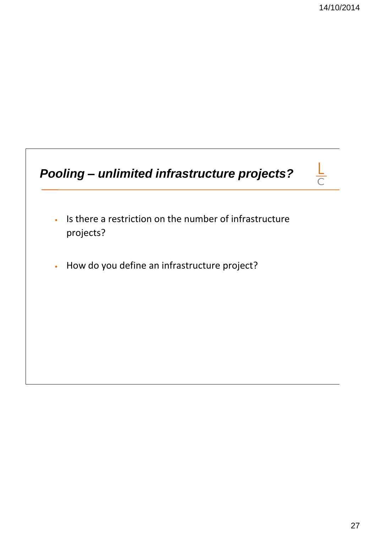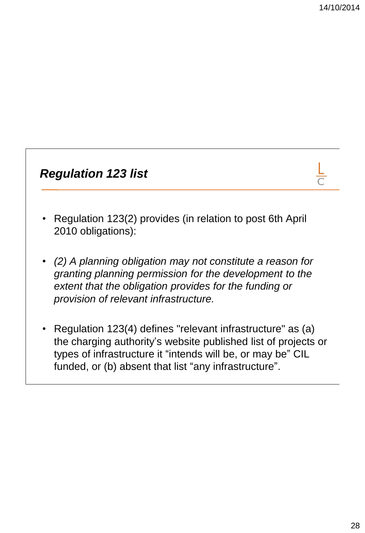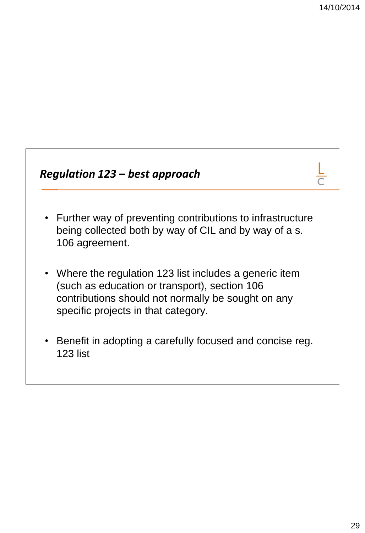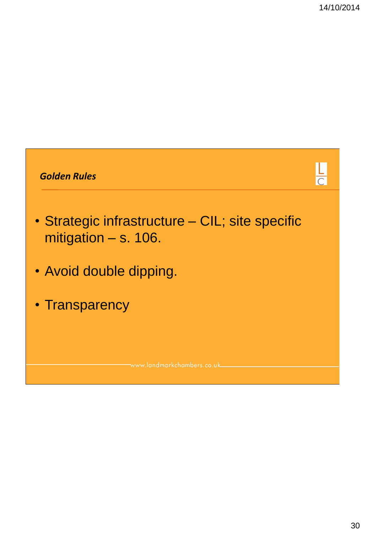